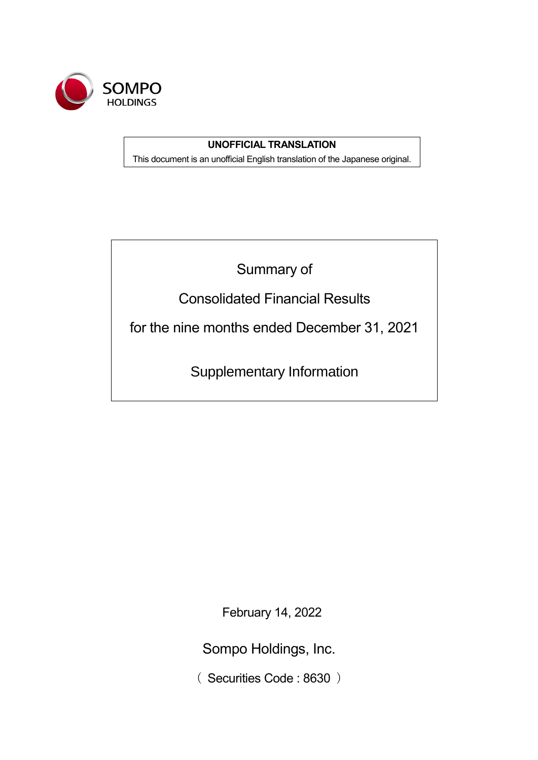

# **UNOFFICIAL TRANSLATION**

This document is an unofficial English translation of the Japanese original.

Summary of

Consolidated Financial Results

for the nine months ended December 31, 2021

Supplementary Information

February 14, 2022

Sompo Holdings, Inc.

( Securities Code : 8630 )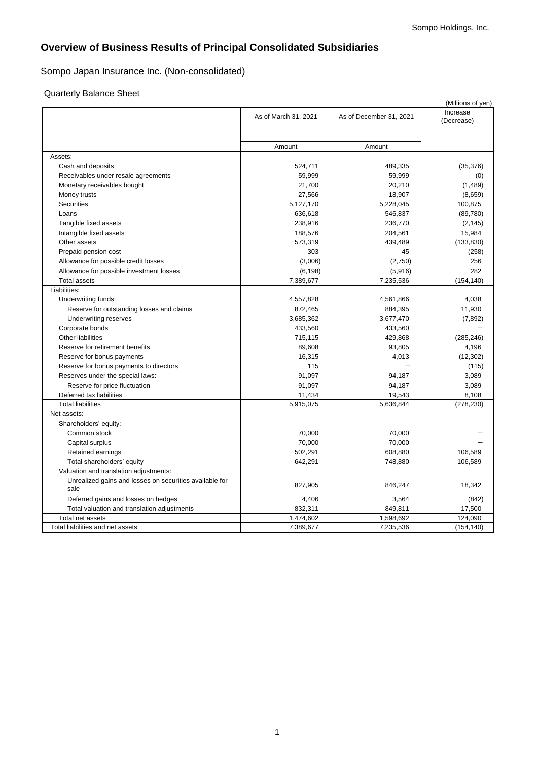# **Overview of Business Results of Principal Consolidated Subsidiaries**

# Sompo Japan Insurance Inc. (Non-consolidated)

### Quarterly Balance Sheet

|                                                         |                      |                         | (Millions of yen)      |
|---------------------------------------------------------|----------------------|-------------------------|------------------------|
|                                                         | As of March 31, 2021 | As of December 31, 2021 | Increase<br>(Decrease) |
|                                                         |                      |                         |                        |
|                                                         | Amount               | Amount                  |                        |
| Assets:                                                 |                      |                         |                        |
| Cash and deposits                                       | 524,711              | 489,335                 | (35, 376)              |
| Receivables under resale agreements                     | 59,999               | 59,999                  | (0)                    |
| Monetary receivables bought                             | 21,700               | 20,210                  | (1,489)                |
| Money trusts                                            | 27,566               | 18,907                  | (8,659)                |
| Securities                                              | 5,127,170            | 5,228,045               | 100,875                |
| Loans                                                   | 636,618              | 546,837                 | (89,780)               |
| Tangible fixed assets                                   | 238,916              | 236,770                 | (2, 145)               |
| Intangible fixed assets                                 | 188,576              | 204,561                 | 15,984                 |
| Other assets                                            | 573,319              | 439,489                 | (133, 830)             |
| Prepaid pension cost                                    | 303                  | 45                      | (258)                  |
| Allowance for possible credit losses                    | (3,006)              | (2,750)                 | 256                    |
| Allowance for possible investment losses                | (6, 198)             | (5,916)                 | 282                    |
| <b>Total assets</b>                                     | 7,389,677            | 7,235,536               | (154, 140)             |
| Liabilities:                                            |                      |                         |                        |
| Underwriting funds:                                     | 4,557,828            | 4,561,866               | 4,038                  |
| Reserve for outstanding losses and claims               | 872,465              | 884,395                 | 11,930                 |
| Underwriting reserves                                   | 3,685,362            | 3,677,470               | (7, 892)               |
| Corporate bonds                                         | 433,560              | 433,560                 |                        |
| <b>Other liabilities</b>                                | 715,115              | 429,868                 | (285, 246)             |
| Reserve for retirement benefits                         | 89,608               | 93,805                  | 4,196                  |
| Reserve for bonus payments                              | 16,315               | 4,013                   | (12, 302)              |
| Reserve for bonus payments to directors                 | 115                  |                         | (115)                  |
| Reserves under the special laws:                        | 91,097               | 94,187                  | 3,089                  |
| Reserve for price fluctuation                           | 91,097               | 94,187                  | 3,089                  |
| Deferred tax liabilities                                | 11,434               | 19,543                  | 8,108                  |
| <b>Total liabilities</b>                                | 5,915,075            | 5,636,844               | (278, 230)             |
| Net assets:                                             |                      |                         |                        |
| Shareholders' equity:                                   |                      |                         |                        |
| Common stock                                            | 70,000               | 70,000                  |                        |
| Capital surplus                                         | 70,000               | 70,000                  |                        |
| Retained earnings                                       | 502,291              | 608,880                 | 106,589                |
| Total shareholders' equity                              | 642,291              | 748,880                 | 106,589                |
| Valuation and translation adjustments:                  |                      |                         |                        |
| Unrealized gains and losses on securities available for | 827,905              | 846,247                 | 18,342                 |
| sale                                                    |                      |                         |                        |
| Deferred gains and losses on hedges                     | 4,406                | 3,564                   | (842)                  |
| Total valuation and translation adjustments             | 832,311              | 849,811                 | 17,500                 |
| Total net assets                                        | 1,474,602            | 1,598,692               | 124,090                |
| Total liabilities and net assets                        | 7,389,677            | 7,235,536               | (154, 140)             |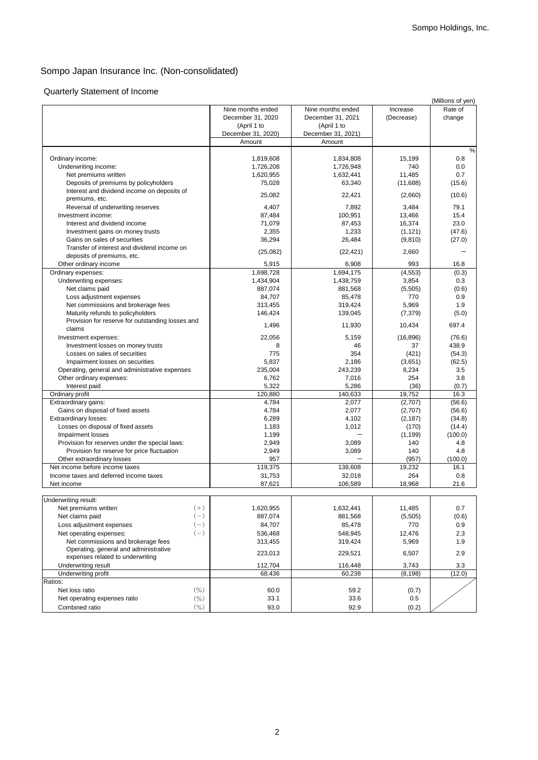## Sompo Japan Insurance Inc. (Non-consolidated)

# Quarterly Statement of Income

|                                                  |                    |                    |            | (Millions of yen) |
|--------------------------------------------------|--------------------|--------------------|------------|-------------------|
|                                                  | Nine months ended  | Nine months ended  | Increase   | Rate of           |
|                                                  | December 31, 2020  | December 31, 2021  | (Decrease) | change            |
|                                                  | (April 1 to        | (April 1 to        |            |                   |
|                                                  | December 31, 2020) | December 31, 2021) |            |                   |
|                                                  | Amount             | Amount             |            |                   |
|                                                  |                    |                    |            | %                 |
| Ordinary income:                                 | 1,819,608          | 1,834,808          | 15,199     | 0.8               |
| Underwriting income:                             | 1,726,208          | 1,726,948          | 740        | 0.0               |
| Net premiums written                             | 1,620,955          | 1,632,441          | 11,485     | 0.7               |
| Deposits of premiums by policyholders            | 75,028             | 63,340             | (11,688)   | (15.6)            |
| Interest and dividend income on deposits of      |                    |                    |            |                   |
| premiums, etc.                                   | 25,082             | 22,421             | (2,660)    | (10.6)            |
| Reversal of underwriting reserves                | 4,407              | 7,892              | 3,484      | 79.1              |
| Investment income:                               | 87,484             | 100,951            | 13,466     | 15.4              |
| Interest and dividend income                     | 71,079             | 87,453             | 16,374     | 23.0              |
| Investment gains on money trusts                 | 2,355              | 1,233              | (1, 121)   | (47.6)            |
| Gains on sales of securities                     | 36,294             | 26,484             | (9, 810)   | (27.0)            |
| Transfer of interest and dividend income on      |                    |                    |            |                   |
| deposits of premiums, etc.                       | (25,082)           | (22, 421)          | 2,660      |                   |
| Other ordinary income                            | 5,915              | 6,908              | 993        | 16.8              |
| Ordinary expenses:                               | 1,698,728          | 1,694,175          | (4, 553)   | (0.3)             |
| Underwriting expenses:                           | 1,434,904          | 1,438,759          | 3,854      | 0.3               |
| Net claims paid                                  | 887,074            | 881,568            | (5,505)    | (0.6)             |
| Loss adjustment expenses                         | 84,707             | 85,478             | 770        | 0.9               |
| Net commissions and brokerage fees               | 313,455            | 319,424            | 5,969      | 1.9               |
| Maturity refunds to policyholders                | 146,424            | 139,045            | (7, 379)   | (5.0)             |
| Provision for reserve for outstanding losses and |                    |                    |            |                   |
| claims                                           | 1,496              | 11,930             | 10,434     | 697.4             |
| Investment expenses:                             | 22,056             | 5,159              | (16, 896)  | (76.6)            |
| Investment losses on money trusts                | 8                  | 46                 | 37         | 438.9             |
| Losses on sales of securities                    | 775                | 354                | (421)      | (54.3)            |
| Impairment losses on securities                  | 5,837              | 2,186              | (3,651)    | (62.5)            |
| Operating, general and administrative expenses   | 235,004            | 243,239            | 8,234      | 3.5               |
| Other ordinary expenses:                         | 6,762              | 7,016              | 254        | 3.8               |
| Interest paid                                    | 5,322              | 5,286              | (36)       | (0.7)             |
| Ordinary profit                                  | 120,880            | 140,633            | 19,752     | 16.3              |
| Extraordinary gains:                             | 4,784              | 2,077              | (2,707)    | (56.6)            |
| Gains on disposal of fixed assets                | 4,784              | 2,077              | (2,707)    | (56.6)            |
| Extraordinary losses:                            | 6,289              | 4,102              | (2, 187)   | (34.8)            |
| Losses on disposal of fixed assets               | 1,183              | 1,012              | (170)      | (14.4)            |
| Impairment losses                                | 1,199              |                    | (1, 199)   | (100.0)           |
| Provision for reserves under the special laws:   | 2,949              | 3,089              | 140        | 4.8               |
| Provision for reserve for price fluctuation      |                    | 3,089              | 140        | 4.8               |
| Other extraordinary losses                       | 2,949<br>957       |                    | (957)      | (100.0)           |
| Net income before income taxes                   | 119,375            | 138,608            | 19,232     | 16.1              |
| Income taxes and deferred income taxes           | 31,753             | 32,018             | 264        | 0.8               |
| Net income                                       | 87,621             | 106,589            | 18,968     | 21.6              |
|                                                  |                    |                    |            |                   |
| Underwriting result:                             |                    |                    |            |                   |
| Net premiums written<br>$(+)$                    | 1,620,955          | 1,632,441          | 11,485     | 0.7               |
| $(-)$<br>Net claims paid                         | 887,074            | 881,568            | (5, 505)   | (0.6)             |
|                                                  |                    |                    |            |                   |
| $(-)$<br>Loss adjustment expenses                | 84,707             | 85,478             | 770        | 0.9               |
| $(-)$<br>Net operating expenses:                 | 536,468            | 548,945            | 12,476     | 2.3               |
| Net commissions and brokerage fees               | 313,455            | 319,424            | 5,969      | 1.9               |
| Operating, general and administrative            | 223,013            | 229,521            | 6,507      | 2.9               |
| expenses related to underwriting                 |                    |                    |            |                   |
| Underwriting result                              | 112,704            | 116,448            | 3,743      | 3.3               |
| Underwriting profit                              | 68,436             | 60,238             | (8, 198)   | (12.0)            |
| Ratios:                                          |                    |                    |            |                   |
| (9/0)<br>Net loss ratio                          | 60.0               | 59.2               | (0.7)      |                   |
| $($ %)<br>Net operating expenses ratio           | 33.1               | 33.6               | 0.5        |                   |
| (9/0)<br>Combined ratio                          | 93.0               | 92.9               | (0.2)      |                   |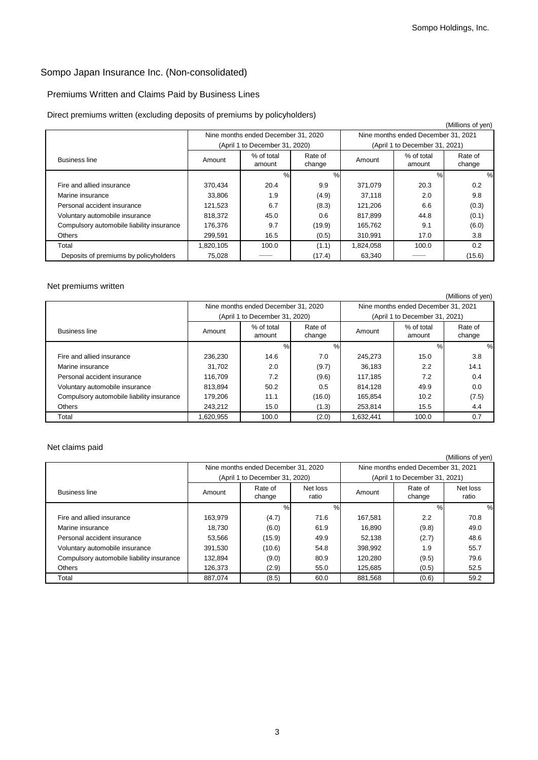# Sompo Japan Insurance Inc. (Non-consolidated)

## Premiums Written and Claims Paid by Business Lines

### Direct premiums written (excluding deposits of premiums by policyholders)

|                                           |           |                                     |                   |           |                                     | (Millions of yen) |
|-------------------------------------------|-----------|-------------------------------------|-------------------|-----------|-------------------------------------|-------------------|
|                                           |           | Nine months ended December 31, 2020 |                   |           | Nine months ended December 31, 2021 |                   |
|                                           |           | (April 1 to December 31, 2020)      |                   |           | (April 1 to December 31, 2021)      |                   |
| <b>Business line</b>                      | Amount    | % of total<br>amount                | Rate of<br>change | Amount    | % of total<br>amount                | Rate of<br>change |
|                                           |           | %                                   | %                 |           | $\%$                                | %                 |
| Fire and allied insurance                 | 370.434   | 20.4                                | 9.9               | 371.079   | 20.3                                | 0.2               |
| Marine insurance                          | 33,806    | 1.9                                 | (4.9)             | 37,118    | 2.0                                 | 9.8               |
| Personal accident insurance               | 121,523   | 6.7                                 | (8.3)             | 121,206   | 6.6                                 | (0.3)             |
| Voluntary automobile insurance            | 818,372   | 45.0                                | 0.6               | 817,899   | 44.8                                | (0.1)             |
| Compulsory automobile liability insurance | 176,376   | 9.7                                 | (19.9)            | 165,762   | 9.1                                 | (6.0)             |
| Others                                    | 299,591   | 16.5                                | (0.5)             | 310,991   | 17.0                                | 3.8               |
| Total                                     | 1,820,105 | 100.0                               | (1.1)             | 1,824,058 | 100.0                               | 0.2               |
| Deposits of premiums by policyholders     | 75,028    |                                     | (17.4)            | 63,340    |                                     | (15.6)            |

#### Net premiums written

|                                           |         |                                     |                   |                                     |                                | (Millions of yen) |
|-------------------------------------------|---------|-------------------------------------|-------------------|-------------------------------------|--------------------------------|-------------------|
|                                           |         | Nine months ended December 31, 2020 |                   | Nine months ended December 31, 2021 |                                |                   |
|                                           |         | (April 1 to December 31, 2020)      |                   |                                     | (April 1 to December 31, 2021) |                   |
| <b>Business line</b>                      | Amount  | % of total<br>amount                | Rate of<br>change | Amount                              | % of total<br>amount           | Rate of<br>change |
|                                           |         | %                                   | $\%$              |                                     | %                              | $\%$              |
| Fire and allied insurance                 | 236.230 | 14.6                                | 7.0               | 245.273                             | 15.0                           | 3.8               |
| Marine insurance                          | 31.702  | 2.0                                 | (9.7)             | 36.183                              | 2.2                            | 14.1              |
| Personal accident insurance               | 116.709 | 7.2                                 | (9.6)             | 117.185                             | 7.2                            | 0.4               |
| Voluntary automobile insurance            | 813,894 | 50.2                                | 0.5               | 814.128                             | 49.9                           | 0.0               |
| Compulsory automobile liability insurance | 179.206 | 11.1                                | (16.0)            | 165.854                             | 10.2                           | (7.5)             |
| Others                                    | 243.212 | 15.0                                | (1.3)             | 253.814                             | 15.5                           | 4.4               |
| Total                                     | 620,955 | 100.0                               | (2.0)             | 1,632,441                           | 100.0                          | 0.7               |

### Net claims paid

|                                           |         |                                     |                   |                                     |                                | (Millions of yen) |
|-------------------------------------------|---------|-------------------------------------|-------------------|-------------------------------------|--------------------------------|-------------------|
|                                           |         | Nine months ended December 31, 2020 |                   | Nine months ended December 31, 2021 |                                |                   |
|                                           |         | (April 1 to December 31, 2020)      |                   |                                     | (April 1 to December 31, 2021) |                   |
| <b>Business line</b>                      | Amount  | Rate of<br>change                   | Net loss<br>ratio | Amount                              | Rate of<br>change              | Net loss<br>ratio |
|                                           |         | %                                   | %                 |                                     | $\%$                           | $\%$              |
| Fire and allied insurance                 | 163.979 | (4.7)                               | 71.6              | 167.581                             | 2.2                            | 70.8              |
| Marine insurance                          | 18.730  | (6.0)                               | 61.9              | 16.890                              | (9.8)                          | 49.0              |
| Personal accident insurance               | 53.566  | (15.9)                              | 49.9              | 52.138                              | (2.7)                          | 48.6              |
| Voluntary automobile insurance            | 391.530 | (10.6)                              | 54.8              | 398.992                             | 1.9                            | 55.7              |
| Compulsory automobile liability insurance | 132.894 | (9.0)                               | 80.9              | 120.280                             | (9.5)                          | 79.6              |
| Others                                    | 126.373 | (2.9)                               | 55.0              | 125.685                             | (0.5)                          | 52.5              |
| Total                                     | 887.074 | (8.5)                               | 60.0              | 881,568                             | (0.6)                          | 59.2              |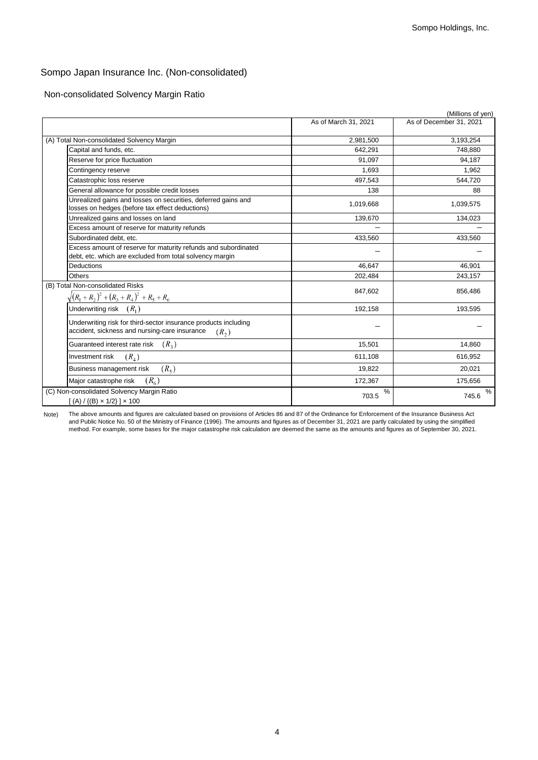# Sompo Japan Insurance Inc. (Non-consolidated)

Non-consolidated Solvency Margin Ratio

|                                                                                                                                       |                      | (Millions of yen)       |
|---------------------------------------------------------------------------------------------------------------------------------------|----------------------|-------------------------|
|                                                                                                                                       | As of March 31, 2021 | As of December 31, 2021 |
| (A) Total Non-consolidated Solvency Margin                                                                                            | 2,981,500            | 3,193,254               |
| Capital and funds, etc.                                                                                                               | 642,291              | 748,880                 |
| Reserve for price fluctuation                                                                                                         | 91,097               | 94,187                  |
| Contingency reserve                                                                                                                   | 1,693                | 1,962                   |
| Catastrophic loss reserve                                                                                                             | 497,543              | 544,720                 |
| General allowance for possible credit losses                                                                                          | 138                  | 88                      |
| Unrealized gains and losses on securities, deferred gains and<br>losses on hedges (before tax effect deductions)                      | 1,019,668            | 1,039,575               |
| Jnrealized gains and losses on land                                                                                                   | 139,670              | 134,023                 |
| Excess amount of reserve for maturity refunds                                                                                         |                      |                         |
| Subordinated debt. etc.                                                                                                               | 433,560              | 433,560                 |
| Excess amount of reserve for maturity refunds and subordinated<br>debt, etc. which are excluded from total solvency margin            |                      |                         |
| <b>Deductions</b>                                                                                                                     | 46,647               | 46,901                  |
| Others                                                                                                                                | 202,484              | 243,157                 |
| (B) Total Non-consolidated Risks<br>$\sqrt{(R_1+R_2)^2+(R_3+R_4)^2+R_5+R_6}$                                                          | 847,602              | 856,486                 |
| Underwriting risk $(R1)$                                                                                                              | 192,158              | 193,595                 |
| Underwriting risk for third-sector insurance products including<br>accident, sickness and nursing-care insurance<br>(R <sub>2</sub> ) |                      |                         |
| $(R_{3})$<br>Guaranteed interest rate risk                                                                                            | 15,501               | 14,860                  |
| $(R_{4})$<br>Investment risk                                                                                                          | 611,108              | 616,952                 |
| $(R_{5})$<br>Business management risk                                                                                                 | 19,822               | 20,021                  |
| (R <sub>6</sub> )<br>Major catastrophe risk                                                                                           | 172,367              | 175,656                 |
| (C) Non-consolidated Solvency Margin Ratio<br>$[(A) / {(B) \times 1/2}] \times 100$                                                   | %<br>703.5           | %<br>745.6              |

Note) The above amounts and figures are calculated based on provisions of Articles 86 and 87 of the Ordinance for Enforcement of the Insurance Business Act and Public Notice No. 50 of the Ministry of Finance (1996). The amounts and figures as of December 31, 2021 are partly calculated by using the simplified method. For example, some bases for the major catastrophe risk calculation are deemed the same as the amounts and figures as of September 30, 2021.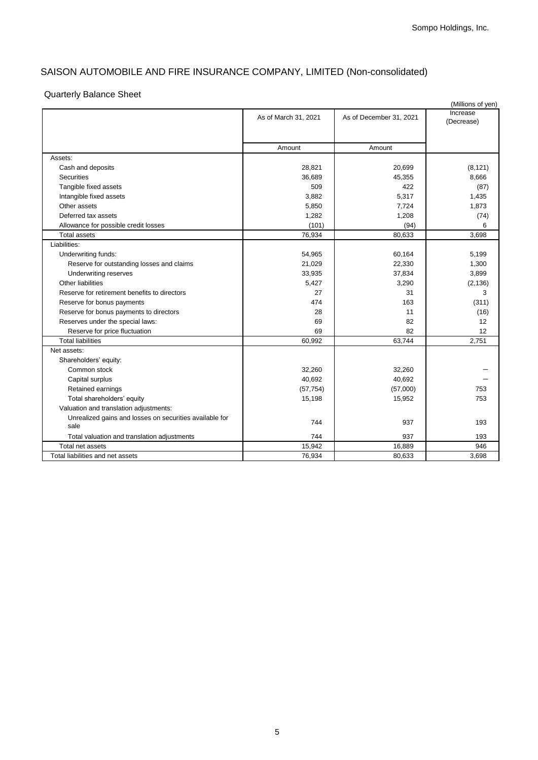# SAISON AUTOMOBILE AND FIRE INSURANCE COMPANY, LIMITED (Non-consolidated)

## Quarterly Balance Sheet

|                                                                 |                      |                         | (Millions of yen)      |
|-----------------------------------------------------------------|----------------------|-------------------------|------------------------|
|                                                                 | As of March 31, 2021 | As of December 31, 2021 | Increase<br>(Decrease) |
|                                                                 | Amount               | Amount                  |                        |
| Assets:                                                         |                      |                         |                        |
| Cash and deposits                                               | 28,821               | 20,699                  | (8, 121)               |
| <b>Securities</b>                                               | 36,689               | 45,355                  | 8,666                  |
| Tangible fixed assets                                           | 509                  | 422                     | (87)                   |
| Intangible fixed assets                                         | 3,882                | 5,317                   | 1,435                  |
| Other assets                                                    | 5,850                | 7,724                   | 1,873                  |
| Deferred tax assets                                             | 1,282                | 1,208                   | (74)                   |
| Allowance for possible credit losses                            | (101)                | (94)                    | 6                      |
| <b>Total assets</b>                                             | 76,934               | 80,633                  | 3,698                  |
| Liabilities:                                                    |                      |                         |                        |
| Underwriting funds:                                             | 54,965               | 60,164                  | 5,199                  |
| Reserve for outstanding losses and claims                       | 21,029               | 22,330                  | 1,300                  |
| Underwriting reserves                                           | 33,935               | 37,834                  | 3,899                  |
| <b>Other liabilities</b>                                        | 5,427                | 3,290                   | (2, 136)               |
| Reserve for retirement benefits to directors                    | 27                   | 31                      | 3                      |
| Reserve for bonus payments                                      | 474                  | 163                     | (311)                  |
| Reserve for bonus payments to directors                         | 28                   | 11                      | (16)                   |
| Reserves under the special laws:                                | 69                   | 82                      | 12                     |
| Reserve for price fluctuation                                   | 69                   | 82                      | 12                     |
| <b>Total liabilities</b>                                        | 60,992               | 63,744                  | 2,751                  |
| Net assets:                                                     |                      |                         |                        |
| Shareholders' equity:                                           |                      |                         |                        |
| Common stock                                                    | 32,260               | 32,260                  |                        |
| Capital surplus                                                 | 40,692               | 40,692                  |                        |
| Retained earnings                                               | (57, 754)            | (57,000)                | 753                    |
| Total shareholders' equity                                      | 15,198               | 15,952                  | 753                    |
| Valuation and translation adjustments:                          |                      |                         |                        |
| Unrealized gains and losses on securities available for<br>sale | 744                  | 937                     | 193                    |
| Total valuation and translation adjustments                     | 744                  | 937                     | 193                    |
| Total net assets                                                | 15,942               | 16,889                  | 946                    |
| Total liabilities and net assets                                | 76,934               | 80,633                  | 3.698                  |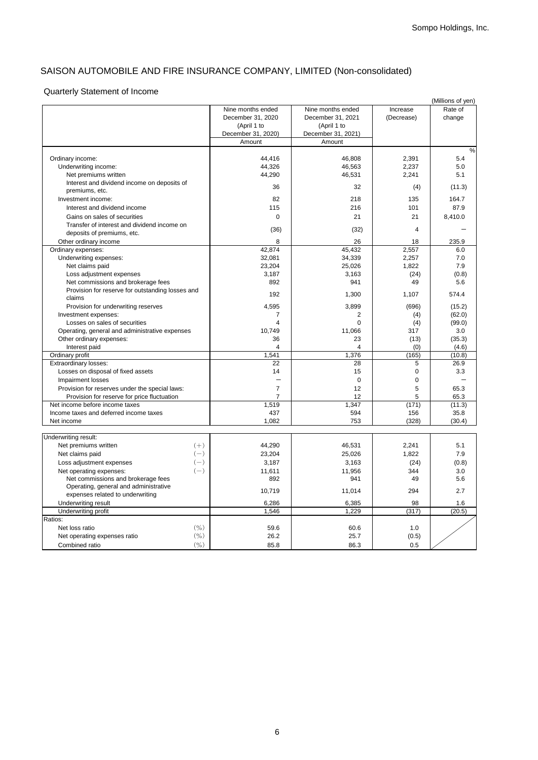# SAISON AUTOMOBILE AND FIRE INSURANCE COMPANY, LIMITED (Non-consolidated)

## Quarterly Statement of Income

|                                                  |       |                    |                    |                | (Millions of yen) |
|--------------------------------------------------|-------|--------------------|--------------------|----------------|-------------------|
|                                                  |       | Nine months ended  | Nine months ended  | Increase       | Rate of           |
|                                                  |       | December 31, 2020  | December 31, 2021  | (Decrease)     | change            |
|                                                  |       | (April 1 to        | (April 1 to        |                |                   |
|                                                  |       | December 31, 2020) | December 31, 2021) |                |                   |
|                                                  |       | Amount             | Amount             |                |                   |
|                                                  |       |                    |                    |                | $\frac{0}{0}$     |
| Ordinary income:                                 |       | 44,416             | 46,808             | 2,391          | 5.4               |
| Underwriting income:                             |       | 44,326             | 46,563             | 2,237          | 5.0               |
| Net premiums written                             |       | 44,290             | 46,531             | 2,241          | 5.1               |
| Interest and dividend income on deposits of      |       |                    |                    |                |                   |
| premiums, etc.                                   |       | 36                 | 32                 | (4)            | (11.3)            |
| Investment income:                               |       | 82                 | 218                | 135            | 164.7             |
| Interest and dividend income                     |       | 115                | 216                | 101            | 87.9              |
| Gains on sales of securities                     |       | $\mathbf 0$        | 21                 | 21             | 8,410.0           |
|                                                  |       |                    |                    |                |                   |
| Transfer of interest and dividend income on      |       | (36)               | (32)               | $\overline{4}$ |                   |
| deposits of premiums, etc.                       |       |                    |                    |                |                   |
| Other ordinary income                            |       | 8                  | 26                 | 18             | 235.9             |
| Ordinary expenses:                               |       | 42.874             | 45,432             | 2,557          | 6.0               |
| Underwriting expenses:                           |       | 32,081             | 34,339             | 2,257          | 7.0               |
| Net claims paid                                  |       | 23,204             | 25,026             | 1,822          | 7.9               |
| Loss adjustment expenses                         |       | 3,187              | 3,163              | (24)           | (0.8)             |
| Net commissions and brokerage fees               |       | 892                | 941                | 49             | 5.6               |
| Provision for reserve for outstanding losses and |       | 192                | 1,300              | 1,107          | 574.4             |
| claims                                           |       |                    |                    |                |                   |
| Provision for underwriting reserves              |       | 4,595              | 3,899              | (696)          | (15.2)            |
| Investment expenses:                             |       | 7                  | 2                  | (4)            | (62.0)            |
| Losses on sales of securities                    |       | $\overline{4}$     | $\mathbf 0$        | (4)            | (99.0)            |
| Operating, general and administrative expenses   |       | 10,749             | 11,066             | 317            | 3.0               |
| Other ordinary expenses:                         |       | 36                 | 23                 | (13)           | (35.3)            |
| Interest paid                                    |       | $\overline{4}$     | 4                  | (0)            | (4.6)             |
| Ordinary profit                                  |       | 1,541              | 1,376              | (165)          | (10.8)            |
| <b>Extraordinary losses:</b>                     |       | 22                 | 28                 | 5              | 26.9              |
| Losses on disposal of fixed assets               |       | 14                 | 15                 | 0              | 3.3               |
| <b>Impairment losses</b>                         |       |                    | $\Omega$           | $\Omega$       |                   |
|                                                  |       | $\overline{7}$     | 12                 |                |                   |
| Provision for reserves under the special laws:   |       |                    |                    | 5              | 65.3              |
| Provision for reserve for price fluctuation      |       | $\overline{7}$     | 12                 | 5              | 65.3              |
| Net income before income taxes                   |       | 1,519              | 1,347              | (171)          | (11.3)            |
| Income taxes and deferred income taxes           |       | 437                | 594                | 156            | 35.8              |
| Net income                                       |       | 1,082              | 753                | (328)          | (30.4)            |
|                                                  |       |                    |                    |                |                   |
| Underwriting result:                             |       |                    |                    |                |                   |
| Net premiums written                             | $(+)$ | 44,290             | 46,531             | 2,241          | 5.1               |
| Net claims paid                                  | $(-)$ | 23,204             | 25,026             | 1,822          | 7.9               |
| Loss adjustment expenses                         | $(-)$ | 3.187              | 3.163              | (24)           | (0.8)             |
| Net operating expenses:                          | $(-)$ | 11,611             | 11,956             | 344            | 3.0               |
| Net commissions and brokerage fees               |       | 892                | 941                | 49             | 5.6               |
| Operating, general and administrative            |       | 10,719             | 11,014             | 294            | 2.7               |
| expenses related to underwriting                 |       |                    |                    |                |                   |
| Underwriting result                              |       | 6,286              | 6,385              | 98             | 1.6               |
| Underwriting profit                              |       | 1.546              | 1.229              | (317)          | (20.5)            |
| Ratios:                                          |       |                    |                    |                |                   |
| Net loss ratio                                   | (0/0) | 59.6               | 60.6               | 1.0            |                   |
| Net operating expenses ratio                     | (9/0) | 26.2               | 25.7               | (0.5)          |                   |
| Combined ratio                                   | (0/0) | 85.8               | 86.3               | 0.5            |                   |
|                                                  |       |                    |                    |                |                   |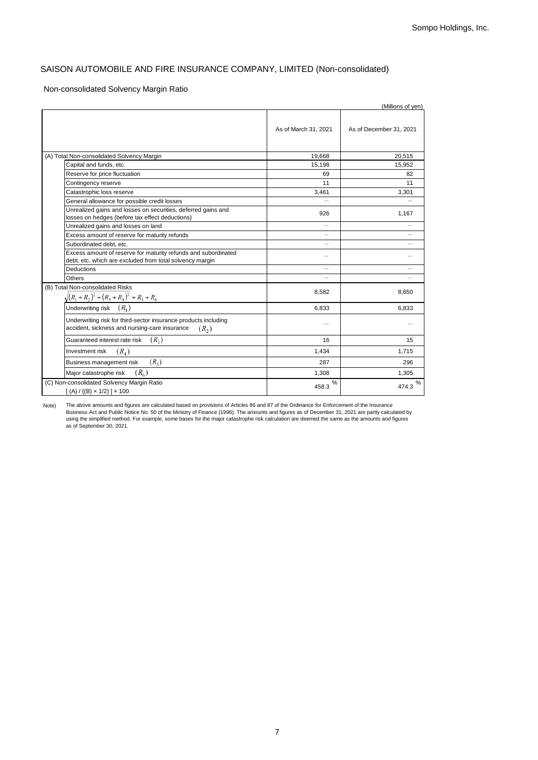### SAISON AUTOMOBILE AND FIRE INSURANCE COMPANY, LIMITED (Non-consolidated)

#### Non-consolidated Solvency Margin Ratio

|                                                                                                                             |                          | (Millions of yen)       |
|-----------------------------------------------------------------------------------------------------------------------------|--------------------------|-------------------------|
|                                                                                                                             | As of March 31, 2021     | As of December 31, 2021 |
| (A) Total Non-consolidated Solvency Margin                                                                                  | 19.668                   | 20.515                  |
| Capital and funds, etc.                                                                                                     | 15,198                   | 15,952                  |
| Reserve for price fluctuation                                                                                               | 69                       | 82                      |
| Contingency reserve                                                                                                         | 11                       | 11                      |
| Catastrophic loss reserve                                                                                                   | 3.461                    | 3,301                   |
| General allowance for possible credit losses                                                                                |                          |                         |
| Unrealized gains and losses on securities, deferred gains and<br>losses on hedges (before tax effect deductions)            | 926                      | 1,167                   |
| Unrealized gains and losses on land                                                                                         | $\overline{\phantom{0}}$ |                         |
| Excess amount of reserve for maturity refunds                                                                               | $\overline{\phantom{0}}$ |                         |
| Subordinated debt. etc.                                                                                                     |                          |                         |
| Excess amount of reserve for maturity refunds and subordinated<br>debt, etc. which are excluded from total solvency margin  |                          |                         |
| <b>Deductions</b>                                                                                                           | —                        |                         |
| Others                                                                                                                      |                          |                         |
| (B) Total Non-consolidated Risks<br>$\sqrt{(R_1+R_2)^2+(R_3+R_4)^2+R_5+R_6}$                                                | 8,582                    | 8,650                   |
| Underwriting risk $(R_1)$                                                                                                   | 6,833                    | 6,833                   |
| Underwriting risk for third-sector insurance products including<br>accident, sickness and nursing-care insurance<br>$(R_2)$ |                          |                         |
| $(R_{2})$<br>Guaranteed interest rate risk                                                                                  | 16                       | 15                      |
| $(R_{\scriptscriptstyle A})$<br>Investment risk                                                                             | 1,434                    | 1,715                   |
| $(R_{\rm s})$<br>Business management risk                                                                                   | 287                      | 296                     |
| $(R_{\kappa})$<br>Major catastrophe risk                                                                                    | 1,308                    | 1,305                   |
| (C) Non-consolidated Solvency Margin Ratio<br>$[(A) / {(B) \times 1/2}] \times 100$                                         | %<br>458.3               | %<br>474.3              |

Note) The above amounts and figures are calculated based on provisions of Articles 86 and 87 of the Ordinance for Enforcement of the Insurance<br>Business Act and Public Notice No. 50 of the Ministry of Finance (1996). The amounts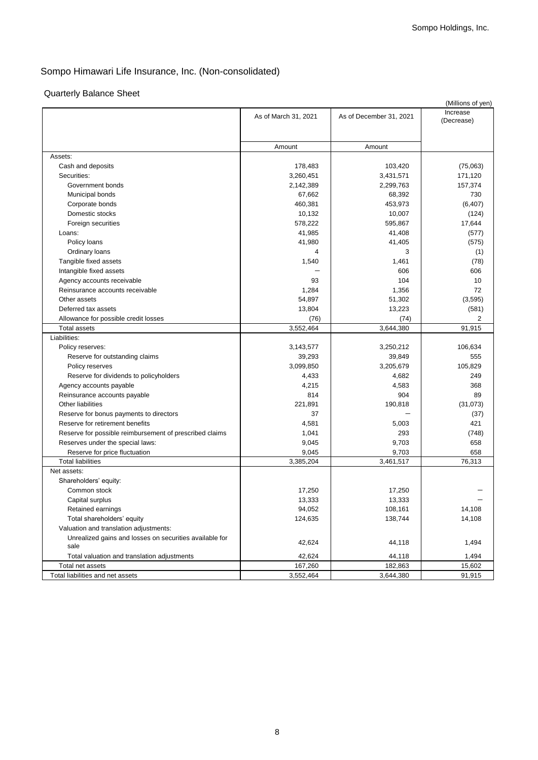# Quarterly Balance Sheet

|                                                             |                      |                         | (Millions of yen)      |
|-------------------------------------------------------------|----------------------|-------------------------|------------------------|
|                                                             | As of March 31, 2021 | As of December 31, 2021 | Increase<br>(Decrease) |
|                                                             | Amount               | Amount                  |                        |
| Assets:                                                     |                      |                         |                        |
| Cash and deposits                                           | 178,483              | 103,420                 | (75,063)               |
| Securities:                                                 | 3,260,451            | 3,431,571               | 171,120                |
| Government bonds                                            | 2,142,389            | 2,299,763               | 157,374                |
| Municipal bonds                                             | 67,662               | 68,392                  | 730                    |
| Corporate bonds                                             | 460,381              | 453,973                 | (6, 407)               |
| Domestic stocks                                             | 10,132               | 10,007                  | (124)                  |
| Foreign securities                                          | 578,222              | 595,867                 | 17,644                 |
| Loans:                                                      | 41,985               | 41,408                  | (577)                  |
| Policy loans                                                | 41,980               | 41,405                  | (575)                  |
| Ordinary loans                                              | $\overline{4}$       | 3                       | (1)                    |
| Tangible fixed assets                                       | 1,540                | 1,461                   | (78)                   |
|                                                             |                      | 606                     | 606                    |
| Intangible fixed assets                                     |                      |                         |                        |
| Agency accounts receivable                                  | 93                   | 104                     | 10<br>72               |
| Reinsurance accounts receivable                             | 1,284                | 1,356                   |                        |
| Other assets                                                | 54,897               | 51,302                  | (3, 595)               |
| Deferred tax assets                                         | 13,804               | 13,223                  | (581)<br>2             |
| Allowance for possible credit losses<br><b>Total assets</b> | (76)<br>3,552,464    | (74)<br>3,644,380       | 91,915                 |
| Liabilities:                                                |                      |                         |                        |
|                                                             |                      |                         |                        |
| Policy reserves:                                            | 3,143,577            | 3,250,212               | 106,634                |
| Reserve for outstanding claims                              | 39,293               | 39,849                  | 555                    |
| Policy reserves                                             | 3,099,850            | 3,205,679               | 105,829                |
| Reserve for dividends to policyholders                      | 4,433                | 4,682                   | 249                    |
| Agency accounts payable                                     | 4,215                | 4,583                   | 368                    |
| Reinsurance accounts payable                                | 814                  | 904                     | 89                     |
| Other liabilities                                           | 221,891              | 190,818                 | (31,073)               |
| Reserve for bonus payments to directors                     | 37                   |                         | (37)                   |
| Reserve for retirement benefits                             | 4,581                | 5,003                   | 421                    |
| Reserve for possible reimbursement of prescribed claims     | 1,041                | 293                     | (748)                  |
| Reserves under the special laws:                            | 9,045                | 9,703                   | 658                    |
| Reserve for price fluctuation                               | 9,045                | 9,703                   | 658                    |
| <b>Total liabilities</b>                                    | 3,385,204            | 3,461,517               | 76,313                 |
| Net assets:                                                 |                      |                         |                        |
| Shareholders' equity:                                       |                      |                         |                        |
| Common stock                                                | 17,250               | 17,250                  |                        |
| Capital surplus                                             | 13,333               | 13,333                  |                        |
| Retained earnings                                           | 94,052               | 108,161                 | 14,108                 |
| Total shareholders' equity                                  | 124,635              | 138,744                 | 14,108                 |
| Valuation and translation adjustments:                      |                      |                         |                        |
| Unrealized gains and losses on securities available for     | 42,624               | 44,118                  | 1,494                  |
| sale                                                        |                      |                         |                        |
| Total valuation and translation adjustments                 | 42,624               | 44,118                  | 1,494                  |
| Total net assets                                            | 167,260              | 182,863                 | 15,602                 |
| Total liabilities and net assets                            | 3,552,464            | 3,644,380               | 91,915                 |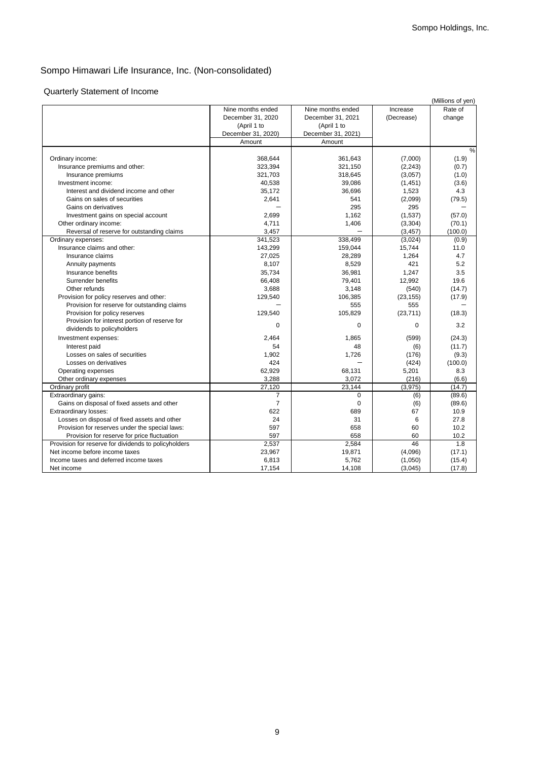## Quarterly Statement of Income

|                                                      |                    |                    |            | (Millions of yen) |
|------------------------------------------------------|--------------------|--------------------|------------|-------------------|
|                                                      | Nine months ended  | Nine months ended  | Increase   | Rate of           |
|                                                      | December 31, 2020  | December 31, 2021  | (Decrease) | change            |
|                                                      | (April 1 to        | (April 1 to        |            |                   |
|                                                      | December 31, 2020) | December 31, 2021) |            |                   |
|                                                      | Amount             | Amount             |            |                   |
|                                                      |                    |                    |            | $\frac{0}{0}$     |
| Ordinary income:                                     | 368,644            | 361,643            | (7,000)    | (1.9)             |
| Insurance premiums and other:                        | 323,394            | 321,150            | (2, 243)   | (0.7)             |
| Insurance premiums                                   | 321,703            | 318,645            | (3,057)    | (1.0)             |
| Investment income:                                   | 40,538             | 39,086             | (1,451)    | (3.6)             |
| Interest and dividend income and other               | 35,172             | 36,696             | 1,523      | 4.3               |
| Gains on sales of securities                         | 2,641              | 541                | (2,099)    | (79.5)            |
| Gains on derivatives                                 |                    | 295                | 295        |                   |
| Investment gains on special account                  | 2,699              | 1,162              | (1,537)    | (57.0)            |
| Other ordinary income:                               | 4,711              | 1,406              | (3,304)    | (70.1)            |
| Reversal of reserve for outstanding claims           | 3,457              |                    | (3, 457)   | (100.0)           |
| Ordinary expenses:                                   | 341,523            | 338,499            | (3,024)    | (0.9)             |
| Insurance claims and other:                          | 143,299            | 159,044            | 15,744     | 11.0              |
| Insurance claims                                     | 27,025             | 28,289             | 1,264      | 4.7               |
| Annuity payments                                     | 8,107              | 8,529              | 421        | 5.2               |
| Insurance benefits                                   | 35,734             | 36,981             | 1,247      | 3.5               |
| Surrender benefits                                   | 66,408             | 79,401             | 12,992     | 19.6              |
| Other refunds                                        | 3,688              | 3,148              | (540)      | (14.7)            |
| Provision for policy reserves and other:             | 129,540            | 106,385            | (23, 155)  | (17.9)            |
| Provision for reserve for outstanding claims         |                    | 555                | 555        |                   |
| Provision for policy reserves                        | 129,540            | 105,829            | (23, 711)  | (18.3)            |
| Provision for interest portion of reserve for        | $\mathbf 0$        | $\mathbf 0$        | $\Omega$   | 3.2               |
| dividends to policyholders                           |                    |                    |            |                   |
| Investment expenses:                                 | 2,464              | 1,865              | (599)      | (24.3)            |
| Interest paid                                        | 54                 | 48                 | (6)        | (11.7)            |
| Losses on sales of securities                        | 1,902              | 1,726              | (176)      | (9.3)             |
| Losses on derivatives                                | 424                |                    | (424)      | (100.0)           |
| Operating expenses                                   | 62,929             | 68,131             | 5,201      | 8.3               |
| Other ordinary expenses                              | 3,288              | 3,072              | (216)      | (6.6)             |
| Ordinary profit                                      | 27,120             | 23.144             | (3,975)    | (14.7)            |
| Extraordinary gains:                                 | $\overline{7}$     | $\mathbf 0$        | (6)        | (89.6)            |
| Gains on disposal of fixed assets and other          | $\overline{7}$     | $\mathbf 0$        | (6)        | (89.6)            |
| Extraordinary losses:                                | 622                | 689                | 67         | 10.9              |
| Losses on disposal of fixed assets and other         | 24                 | 31                 | 6          | 27.8              |
| Provision for reserves under the special laws:       | 597                | 658                | 60         | 10.2              |
| Provision for reserve for price fluctuation          | 597                | 658                | 60         | 10.2              |
| Provision for reserve for dividends to policyholders | 2,537              | 2,584              | 46         | 1.8               |
| Net income before income taxes                       | 23,967             | 19,871             | (4,096)    | (17.1)            |
| Income taxes and deferred income taxes               | 6,813              | 5,762              | (1,050)    | (15.4)            |
| Net income                                           | 17,154             | 14,108             | (3,045)    | (17.8)            |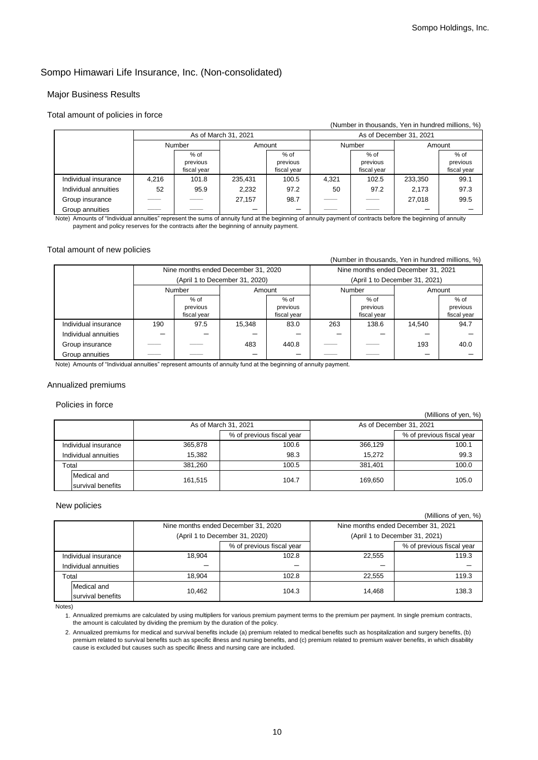### Major Business Results

#### Total amount of policies in force

|                      |                      |                                   |         |                                   |                         |                                   | (Number in thousands, Yen in hundred millions, %) |                                   |
|----------------------|----------------------|-----------------------------------|---------|-----------------------------------|-------------------------|-----------------------------------|---------------------------------------------------|-----------------------------------|
|                      | As of March 31, 2021 |                                   |         |                                   | As of December 31, 2021 |                                   |                                                   |                                   |
|                      |                      | <b>Number</b><br>Amount           |         | Number                            |                         | Amount                            |                                                   |                                   |
|                      |                      | $%$ of<br>previous<br>fiscal year |         | $%$ of<br>previous<br>fiscal year |                         | $%$ of<br>previous<br>fiscal year |                                                   | $%$ of<br>previous<br>fiscal year |
| Individual insurance | 4.216                | 101.8                             | 235,431 | 100.5                             | 4.321                   | 102.5                             | 233,350                                           | 99.1                              |
| Individual annuities | 52                   | 95.9                              | 2,232   | 97.2                              | 50                      | 97.2                              | 2.173                                             | 97.3                              |
| Group insurance      |                      |                                   | 27.157  | 98.7                              |                         |                                   | 27.018                                            | 99.5                              |
| Group annuities      |                      |                                   |         |                                   |                         |                                   |                                                   |                                   |

Note) Amounts of "Individual annuities" represent the sums of annuity fund at the beginning of annuity payment of contracts before the beginning of annuity payment and policy reserves for the contracts after the beginning of annuity payment.

### Total amount of new policies

#### (Number in thousands, Yen in hundred millions, %) Nine months ended December 31, 2020 Nine months ended December 31, 2021 (April 1 to December 31, 2020) (April 1 to December 31, 2021) Number **Amount** Amount **Number** Amount  $%$  of previous fiscal year % of previous fiscal year % of previous fiscal year % of previous fiscal year Individual insurance | 190 | 97.5 | 15,348 | 83.0 | 263 | 138.6 | 14,540 | 94.7 Individual annuities Group insurance  $\begin{array}{|c|c|c|c|c|c|c|c|c|} \hline \end{array}$   $\begin{array}{|c|c|c|c|c|c|c|c|c|} \hline \end{array}$  40.0  $\begin{array}{|c|c|c|c|c|c|c|c|} \hline \end{array}$  40.0  $\begin{array}{|c|c|c|c|c|c|} \hline \end{array}$  40.0  $\begin{array}{|c|c|c|c|c|} \hline \end{array}$  40.0  $\begin{array}{|c|c|c|c|c|c|} \h$ Group annuities

Note) Amounts of "Individual annuities" represent amounts of annuity fund at the beginning of annuity payment.

#### Annualized premiums

Policies in force

|                      |                      | As of March 31, 2021 |                           | As of December 31, 2021 |                           |
|----------------------|----------------------|----------------------|---------------------------|-------------------------|---------------------------|
|                      |                      |                      | % of previous fiscal year |                         | % of previous fiscal year |
|                      | Individual insurance | 365.878              | 100.6                     | 366.129                 | 100.1                     |
| Individual annuities |                      | 15.382               | 98.3                      | 15.272                  | 99.3                      |
|                      | Total                | 381.260              | 100.5                     | 381.401                 | 100.0                     |
|                      | Medical and          | 161.515              | 104.7                     | 169.650                 | 105.0                     |
|                      | survival benefits    |                      |                           |                         |                           |

#### New policies

(Millions of yen, %)

 $(Millione of von 92)$ 

|                      |                   | Nine months ended December 31, 2020 |                           | Nine months ended December 31, 2021 |                           |
|----------------------|-------------------|-------------------------------------|---------------------------|-------------------------------------|---------------------------|
|                      |                   | (April 1 to December 31, 2020)      |                           | (April 1 to December 31, 2021)      |                           |
|                      |                   |                                     | % of previous fiscal year |                                     | % of previous fiscal year |
| Individual insurance |                   | 18.904                              | 102.8                     | 22.555                              | 119.3                     |
| Individual annuities |                   |                                     |                           |                                     |                           |
| Total                |                   | 18.904                              | 102.8                     | 22.555                              | 119.3                     |
|                      | Medical and       | 10.462                              | 104.3                     | 14.468                              | 138.3                     |
|                      | survival benefits |                                     |                           |                                     |                           |

Notes)

1. Annualized premiums are calculated by using multipliers for various premium payment terms to the premium per payment. In single premium contracts, the amount is calculated by dividing the premium by the duration of the policy.

2. Annualized premiums for medical and survival benefits include (a) premium related to medical benefits such as hospitalization and surgery benefits, (b) premium related to survival benefits such as specific illness and nursing benefits, and (c) premium related to premium waiver benefits, in which disability cause is excluded but causes such as specific illness and nursing care are included.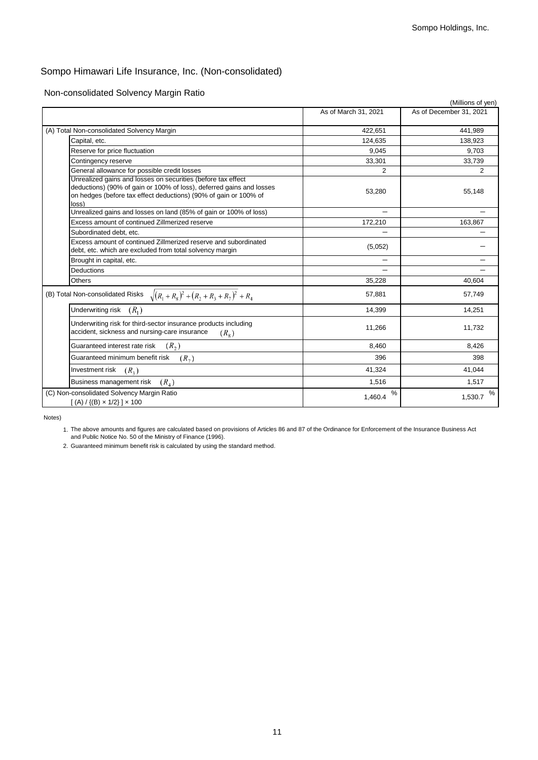Non-consolidated Solvency Margin Ratio

|                                                                                                                                                                                                                   |                      | (Millions of yen)       |
|-------------------------------------------------------------------------------------------------------------------------------------------------------------------------------------------------------------------|----------------------|-------------------------|
|                                                                                                                                                                                                                   | As of March 31, 2021 | As of December 31, 2021 |
| (A) Total Non-consolidated Solvency Margin                                                                                                                                                                        | 422,651              | 441,989                 |
| Capital, etc.                                                                                                                                                                                                     | 124,635              | 138,923                 |
| Reserve for price fluctuation                                                                                                                                                                                     | 9.045                | 9.703                   |
|                                                                                                                                                                                                                   |                      |                         |
| Contingency reserve                                                                                                                                                                                               | 33,301               | 33,739                  |
| General allowance for possible credit losses                                                                                                                                                                      | 2                    | 2                       |
| Unrealized gains and losses on securities (before tax effect<br>deductions) (90% of gain or 100% of loss), deferred gains and losses<br>on hedges (before tax effect deductions) (90% of gain or 100% of<br>loss) | 53,280               | 55,148                  |
| Unrealized gains and losses on land (85% of gain or 100% of loss)                                                                                                                                                 |                      |                         |
| Excess amount of continued Zillmerized reserve                                                                                                                                                                    | 172,210              | 163,867                 |
| Subordinated debt. etc.                                                                                                                                                                                           |                      |                         |
| Excess amount of continued Zillmerized reserve and subordinated<br>debt, etc. which are excluded from total solvency margin                                                                                       | (5,052)              |                         |
| Brought in capital, etc.                                                                                                                                                                                          |                      |                         |
| Deductions                                                                                                                                                                                                        |                      |                         |
| <b>Others</b>                                                                                                                                                                                                     | 35,228               | 40,604                  |
| (B) Total Non-consolidated Risks $\sqrt{(R_1+R_8)^2+(R_2+R_3+R_7)^2+R_4}$                                                                                                                                         | 57,881               | 57,749                  |
| Underwriting risk $(R_1)$                                                                                                                                                                                         | 14,399               | 14,251                  |
| Underwriting risk for third-sector insurance products including<br>accident, sickness and nursing-care insurance<br>$(R_{\rm s})$                                                                                 | 11,266               | 11,732                  |
| $(R_2)$<br>Guaranteed interest rate risk                                                                                                                                                                          | 8,460                | 8,426                   |
| Guaranteed minimum benefit risk<br>$(R_{7})$                                                                                                                                                                      | 396                  | 398                     |
| Investment risk<br>$(R_{3})$                                                                                                                                                                                      | 41,324               | 41,044                  |
| Business management risk<br>$(R_4)$                                                                                                                                                                               | 1,516                | 1,517                   |
| (C) Non-consolidated Solvency Margin Ratio<br>$[(A) / {(B) \times 1/2}] \times 100$                                                                                                                               | ℅<br>1,460.4         | %<br>1,530.7            |

Notes)

1. The above amounts and figures are calculated based on provisions of Articles 86 and 87 of the Ordinance for Enforcement of the Insurance Business Act and Public Notice No. 50 of the Ministry of Finance (1996).

2. Guaranteed minimum benefit risk is calculated by using the standard method.